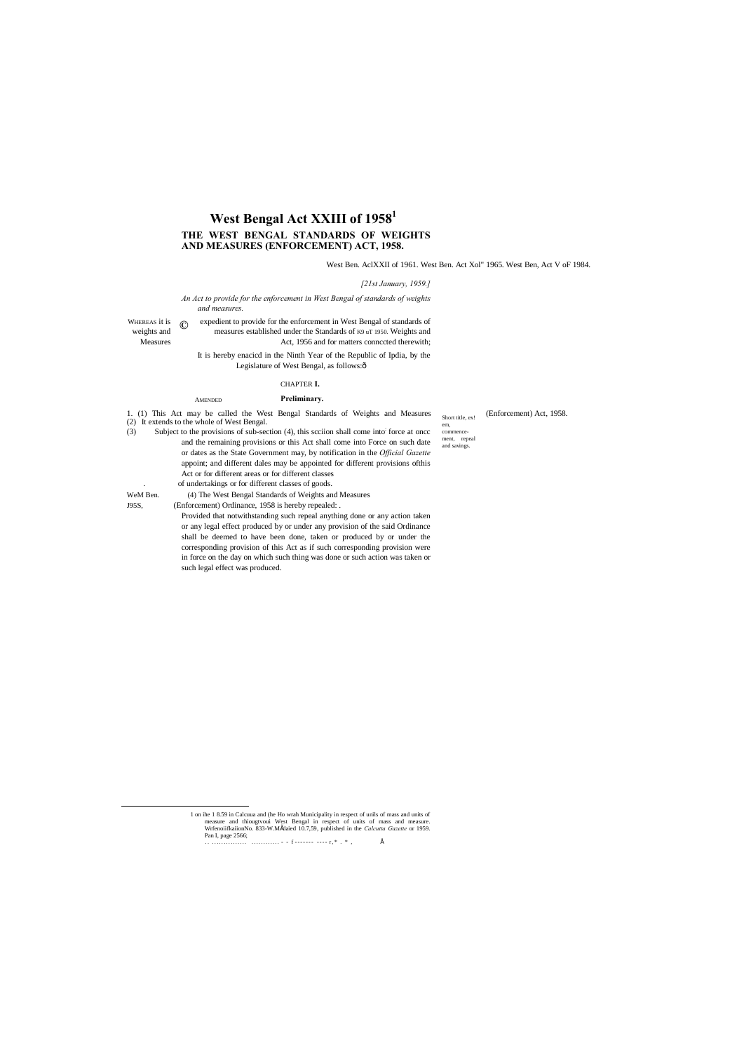**©**

WHEREAS it is  $\bigcirc$  expedient to provide for the enforcement in West Bengal of standards of weights and measures established under the Standards of K9 uT 1950. Weights and Measures Act, 1956 and for matters connected therewith;

Short title, ex!

em, commence ment, repeal and savings.

# **West Bengal Act XXIII of 19581 THE WEST BENGAL STANDARDS OF WEIGHTS AND MEASURES (ENFORCEMENT) ACT, 1958.**

West Ben. AclXXII of 1961. West Ben. Act Xol" 1965. West Ben, Act V oF 1984.

#### *[21st January, 1959.]*

It is hereby enacicd in the Ninth Year of the Republic of Ipdia, by the Legislature of West Bengal, as follows: $\hat{o}$ 

*An Act to provide for the enforcement in West Bengal of standards of weights and measures.*

#### AMENDED **Preliminary.**

### CHAPTER **I.**

1. (1) This Act may be called the West Bengal Standards of Weights and Measures (Enforcement) Act, 1958. (2) It extends to the whole of West Bengal.

(3) Subject to the provisions of sub-section (4), this scciion shall come into: force at oncc and the remaining provisions or this Act shall come into Force on such date or dates as the State Government may, by notification in the *Official Gazette* appoint; and different dales may be appointed for different provisions ofthis Act or for different areas or for different classes

of undertakings or for different classes of goods.

WeM Ben. (4) The West Bengal Standards of Weights and Measures

J95S, (Enforcement) Ordinance, 1958 is hereby repealed: .

Provided that notwithstanding such repeal anything done or any action taken or any legal effect produced by or under any provision of the said Ordinance shall be deemed to have been done, taken or produced by or under the corresponding provision of this Act as if such corresponding provision were in force on the day on which such thing was done or such action was taken or such legal effect was produced.

 1 on ihe 1 8.59 in Calcuua and (he Ho wrah Municipality in respect of unils of mass and units of measure and thiougtvoui West Bengal in respect of units of mass and measure. WrfenoiifkaiionNo. 833-W.Mšdaied 10.7,59, published in the *Calcutta Gazette* or 1959. Pan I, page 2566;

. . . . . . . . . . . . . . . . . . . . . . . . . . . . . - - f - - - - - - - - - - - r , \* . \* , •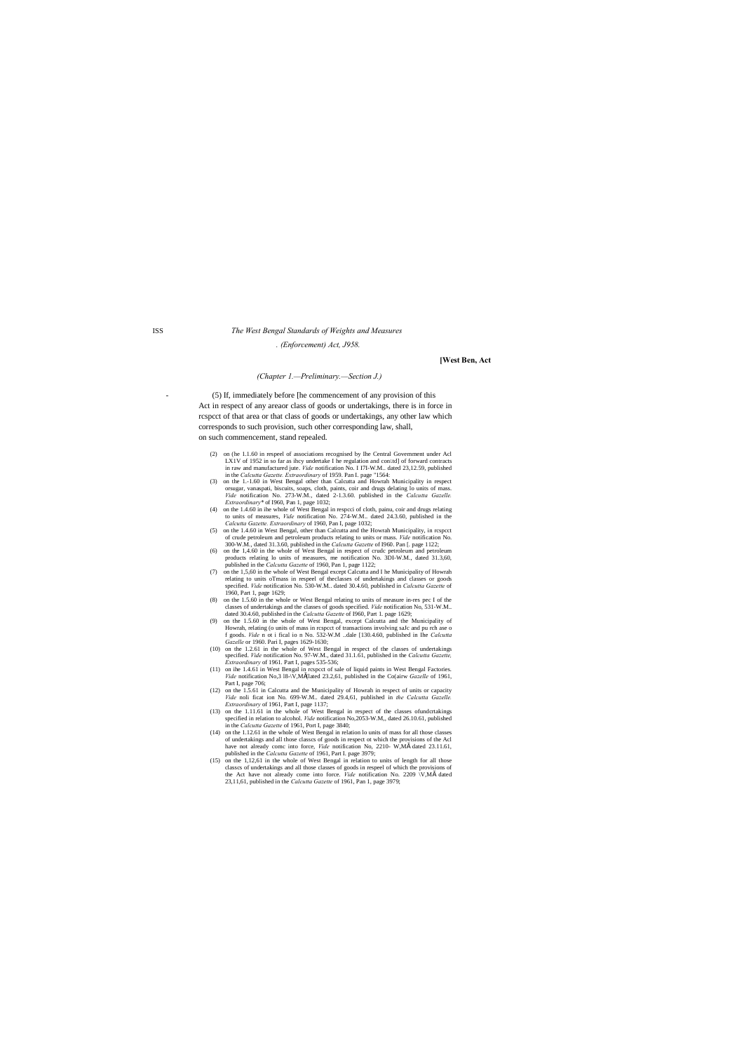## ISS *The West Bengal Standards of Weights and Measures*

*. (Enforcement) Act, J958.*

#### **[West Ben, Act**

#### *(Chapter 1.—Preliminary.—Section J.)*

- (5) If, immediately before [he commencement of any provision of this Act in respect of any areaor class of goods or undertakings, there is in force in rcspcct of that area or that class of goods or undertakings, any other law which corresponds to such provision, such other corresponding law, shall, on such commencement, stand repealed.

- (2) on (he 1.1.60 in respeel of associations recognised by Ihe Central Government under Acl LX1V of 1952 in so far as ihcy undertake I he regulation and control of forward contracts in raw and manufactured jute. *Vide* notification No. I I7I-W.M.. dated 23,12.59, published in the *Calcutta Gazette. Extraordinary* of 1959. Pan I. page "1564:
- (3) on the 1.-1.60 in West Bengal other than Calcutta and Howrah Municipality in respect orsugar, vanaspati, biscuits, soaps, cloth, paints, coir and drugs delating lo units of mass. *Vide* notification No. 273-W.M., dated 2-1.3.60. published in the *Calcutta Gazelle. Extraordinary\** of I960, Pan 1, page 1032;
- (4) on the 1.4.60 in ihe whole of West Bengal in respcci of cloth, painu, coir and drugs relating to units of measures, *Vide* notification No. 274-W.M.. dated 24.3.60, published in the
- *Calcutta Gazette. Extraordinary* of 1960, Pan I, page 1032;<br>
(5) on the 1.4.60 in West Bengal, other than Calcutta and the Howrah Municipality, in rcspcct of crude petroleum and petroleum products relating to units or mass. *Vide* notification No.
- 300-W.M., dated 31.3.60, published in the *Calcutta Gazette* of I960. Pan [. page 1122; (6) on the 1,4.60 in the whole of West Bengal in respect of crudc petroleum and petroleum products relating lo units of measures, me notification No. 3DI-W.M., dated 31.3,60, published in the *Calcutta Gazette* of 1960, Pan 1, page 1122;
- (7) on the 1,5,60 in the whole of West Bengal except Calcutta and I he Municipality of Howrah relating to units oTmass in respeel of theclasses of undertakings and classes or goods specified. *Vide* notification No. 530-W.M.. dated 30.4.60, published in *Calcutta Gazette* of 1960, Part 1, page 1629;
- (8) on the 1.5.60 in the whole or West Bengal relating to units of measure in-res pec I of the classes of undertakings and the classes of goods specified. *Vide* notification No, 531-W.M.. dated 30.4.60, published in the *Calcutta Gazette* of I960, Part 1. page 1629;
- (9) on the 1.5.60 in the whole of West Bengal, except Calcutta and the Municipality of Howrah, relating (o units of mass in rcspcct of transactions involving saJc and pu rch ase o f goods. *Vide* n ot i fical io n No. 532-W.M ..dale [130.4.60, published in Ihe *Calcutta Gazelle* or 1960. Pari I, pages 1629-1630;
- (10) on the 1.2.61 in the whole of West Bengal in respect of the classes of undertakings specified. *Vide* notification No. 97-W.M., dated 31.1.61, published in the *Calcutta Gazette, Extraordinary* of 1961. Part I, pages 535-536;
- (11) on ihe 1.4.61 in West Bengal in rcspcct of sale of liquid paints in West Bengal Factories. *Vide* notification No,3 l8-\V,M"(lated 23.2,61, published in the Co(airw *Gazelle* of 1961, Part I, page 706;
- (12) on the 1.5.61 in Calcutta and the Municipality of Howrah in respect of units or capacity *Vide* noli ficat ion No. 699-W.M.. dated 29.4,61, published in *the Calcutta Gazelle. Extraordinary* of 1961, Part I, page 1137;
- (13) on the 1.11.61 in the whole of West Bengal in respect of the classes ofundcrtakings specified in relation to alcohol. *Vide* notification No,2053-W.M,, dated 26.10.61, published in the *Calcutta Gazette* of 1961, Port I, page 3840;
- (14) on the 1.12.61 in the whole of West Bengal in relation lo units of mass for all those classes of undertakings and all those classcs of goods in respect ot which the provisions of the Acl have not already comc into force, *Vide* notification No, 2210- W,Mš dated 23.11.61, published in the *Calcutta Gazette* of 1961, Part I. page 3979;<br>(15) on the 1,12,61 in the whole of West Bengal in relation to units of length for all those
- classcs of undertakings and all those classes of goods in respeel of which the provisions of the Act have not already come into force. *Vide* notification No. 2209 \V,M" dated 23,11,61, published in the *Calcutta Gazette* of 1961, Pan 1, page 3979;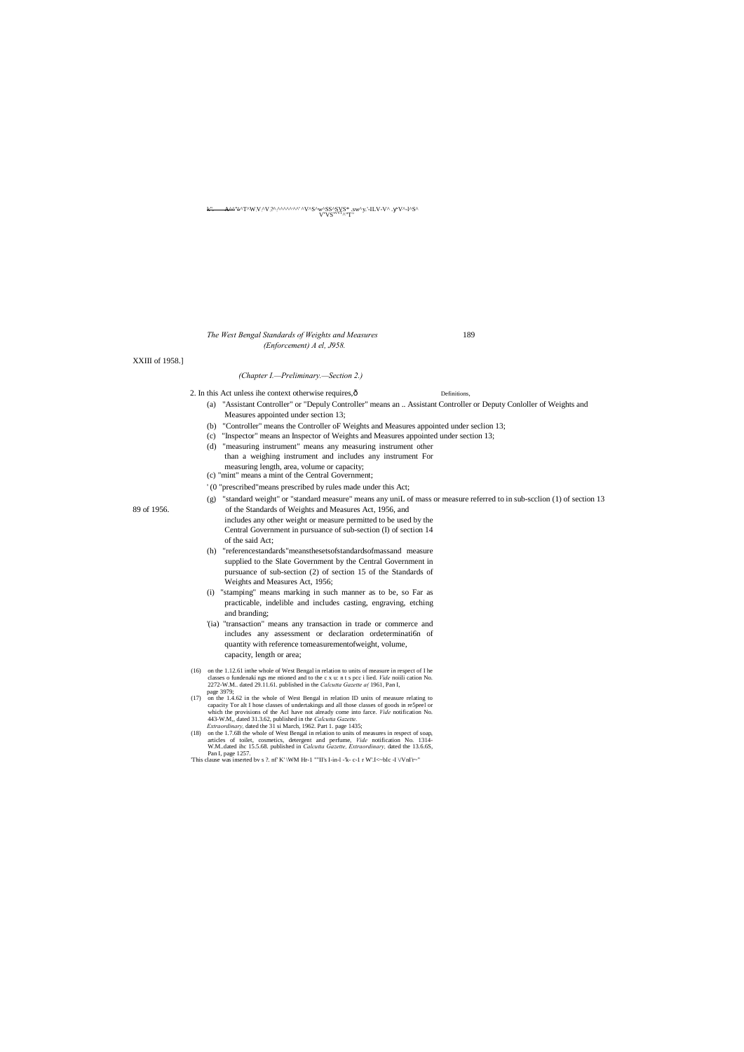k". A^^''^^T^W: V: ^V:?^: ^^^^^, ^^' ^V^S^w^SS^SVS\* .sw^y.'-ILV-V^ . V^-l^S^ Vv VSvvVT^"T: '

#### *The West Bengal Standards of Weights and Measures* 189 *(Enforcement) A el, J958.*

XXIII of 1958.]

#### *(Chapter I.—Preliminary.—Section 2.)*

- 2. In this Act unless ihe context otherwise requires,  $\hat{O}$  Definitions,
	- (a) "Assistant Controller" or "Depuly Controller" means an .. Assistant Controller or Deputy Conloller of Weights and Measures appointed under section 13;
	- (b) "Controller" means the Controller oF Weights and Measures appointed under seclion 13;
	- (c) "Inspector" means an Inspector of Weights and Measures appointed under section 13;
	- (d) "measuring instrument" means any measuring instrument other than a weighing instrument and includes any instrument For measuring length, area, volume or capacity;
	- (c) "mint" means a mint of the Central Government;
	- ' (0 "prescribed"means prescribed by rules made under this Act;
- (g) "standard weight" or "standard measure" means any uniL of mass or measure referred to in sub-scclion (1) of section 13 89 of 1956. of the Standards of Weights and Measures Act, 1956, and
	- includes any other weight or measure permitted to be used by the Central Government in pursuance of sub-section (I) of section 14 of the said Act;
	- (h) "referencestandards"meansthesetsofstandardsofmassand measure supplied to the Slate Government by the Central Government in pursuance of sub-section (2) of section 15 of the Standards of Weights and Measures Act, 1956;
	- (i) "stamping" means marking in such manner as to be, so Far as practicable, indelible and includes casting, engraving, etching and branding;
	- '(ia) "transaction" means any transaction in trade or commerce and includes any assessment or declaration ordetermination of quantity with reference tomeasurementofweight, volume, capacity, length or area;
	- (16) on the 1.12.61 inthe whole of West Bengal in relation to units of measure in respect of I he classes o fundenaki ngs me ntioned and to the c x u: n t s pcc i lied. *Vide* noiili cation No. 2272-W.M.. dated 29.11.61. published in the *Calcutta Gazette a(* 1961, Pan I,
	- page 3979; (17) on the 1.4.62 in the whole of West Bengal in relation ID units of measure relating to capacity Tor alt I hose classes of undertakings and all those classes of goods in re5peel or which the provisions of the Acl have not already come into farce. *Vide* notification No. 443-W.M,, dated 31.3.62, published in the *Calcutta Gazette. Extraordinary,* dated the 31 si March, 1962. Part 1. page 1435;
	- (18) on the 1.7.6B the whole of West Bengal in relation to units of measures in respect of soap, articles of toilet, cosmetics, detergent and perfume, *Vide* notification No. 1314- W.M..dated ihc 15.5.68. published in *Calcutta Gazette, Extraordinary,* dated the 13.6.6S,
	- Pan I, page 1257.<br>
	This clause was inserted bv s ?. nf' K' \WM Hr-1 ""II's I-in-l -'k- c-1 r W'.I<~bIc -I \/VnI'r~"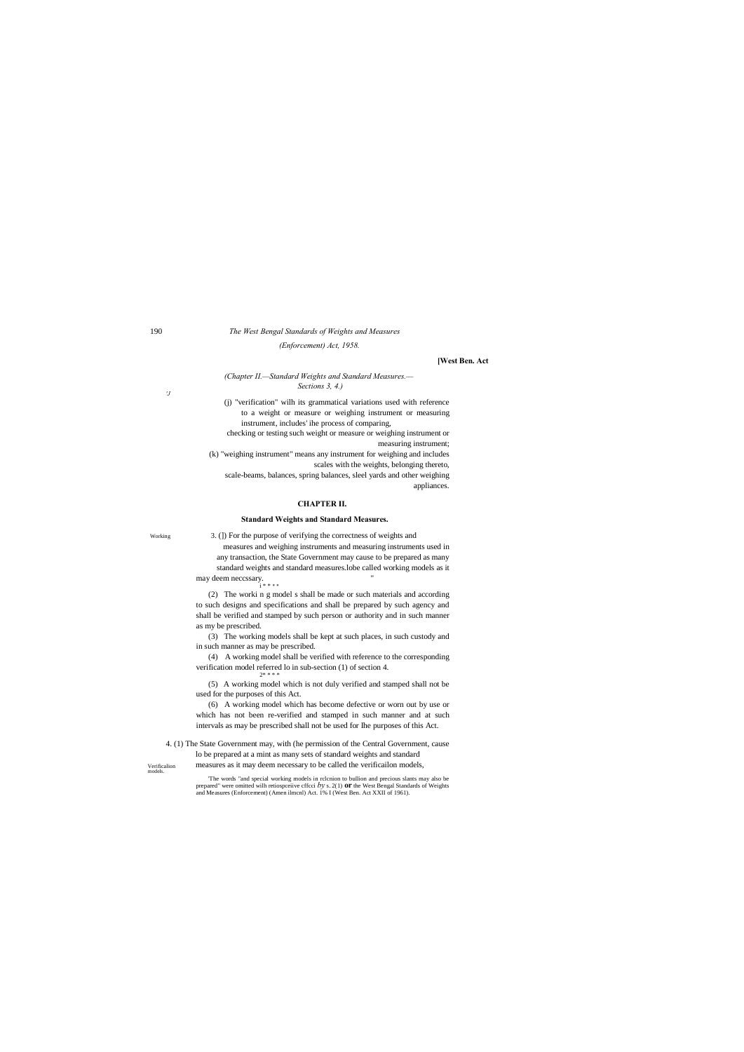#### 190 *The West Bengal Standards of Weights and Measures*

*(Enforcement) Act, 1958.*

#### **[West Ben. Act**

#### *(Chapter II.—Standard Weights and Standard Measures.— Sections 3, 4.)*

*'J*

(j) "verification" wilh its grammatical variations used with reference to a weight or measure or weighing instrument or measuring instrument, includes' ihe process of comparing,

measures and weighing instruments and measuring instruments used in any transaction, the State Government may cause to be prepared as many standard weights and standard measures.lobe called working models as it may deem neccssary. "<br> $i^{***}$ 

checking or testing such weight or measure or weighing instrument or measuring instrument;

(k) "weighing instrument" means any instrument for weighing and includes scales with the weights, belonging thereto,

scale-beams, balances, spring balances, sleel yards and other weighing appliances.

#### **CHAPTER II.**

#### **Standard Weights and Standard Measures.**

Working 3. (]) For the purpose of verifying the correctness of weights and

Verificalion models. 4. (1) The State Government may, with (he permission of the Central Government, cause lo be prepared at a mint as many sets of standard weights and standard

(2) The worki n g model s shall be made or such materials and according to such designs and specifications and shall be prepared by such agency and shall be verified and stamped by such person or authority and in such manner as my be prescribed.

(3) The working models shall be kept at such places, in such custody and in such manner as may be prescribed.

(4) A working model shall be verified with reference to the corresponding verification model referred lo in sub-section (1) of section 4. 2\* \* \* \*

(5) A working model which is not duly verified and stamped shall not be used for the purposes of this Act.

(6) A working model which has become defective or worn out by use or which has not been re-verified and stamped in such manner and at such intervals as may be prescribed shall not be used for Ihe purposes of this Act.

measures as it may deem necessary to be called the verificailon models,

'The words "and special working models in rclcnion to bullion and precious slants may also be prepared" were omitted wilh retiospceiive cffcci *by* s. 2(1) **or** the West Bengal Standards of Weights and Measures (Enforcement) (Amen ilmcnl) Act. 1% I (West Ben. Act XXII of 1961).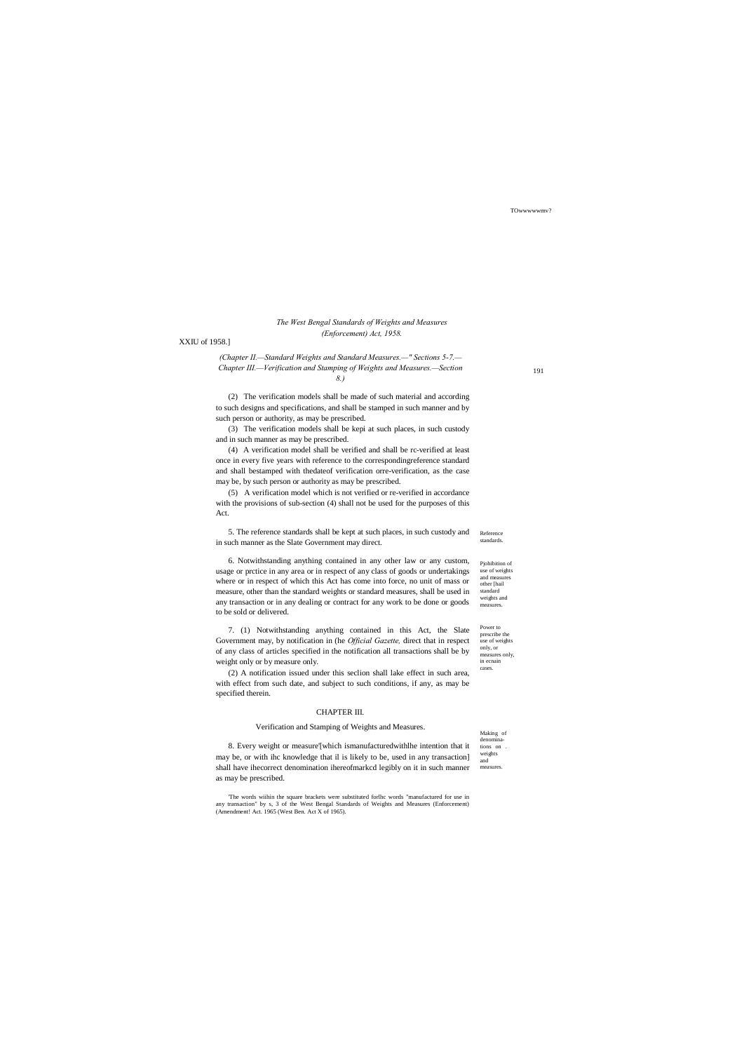Making of denominations on weights and measures

Power to prescribe the use of weights only, or measures only, in ecnain cases.

TOwwwwwmv?

#### *The West Bengal Standards of Weights and Measures (Enforcement) Act, 1958.*

#### XXIU of 1958.]

*(Chapter II.—Standard Weights and Standard Measures.—" Sections 5-7.— Chapter III.—Verification and Stamping of Weights and Measures.—Section 8.)*

(2) The verification models shall be made of such material and according to such designs and specifications, and shall be stamped in such manner and by such person or authority, as may be prescribed.

Reference standards. 5. The reference standards shall be kept at such places, in such custody and in such manner as the Slate Government may direct.

(3) The verification models shall be kepi at such places, in such custody and in such manner as may be prescribed.

Pjohibition of use of weights and measures other [hail standard weights and measures. 6. Notwithstanding anything contained in any other law or any custom, usage or prctice in any area or in respect of any class of goods or undertakings where or in respect of which this Act has come into force, no unit of mass or measure, other than the standard weights or standard measures, shall be used in any transaction or in any dealing or contract for any work to be done or goods to be sold or delivered.

(4) A verification model shall be verified and shall be rc-verified at least once in every five years with reference to the correspondingreference standard and shall bestamped with thedateof verification orre-verification, as the case may be, by such person or authority as may be prescribed.

(5) A verification model which is not verified or re-verified in accordance with the provisions of sub-section (4) shall not be used for the purposes of this Act.

7. (1) Notwithstanding anything contained in this Act, the Slate Government may, by notification in (he *Official Gazette,* direct that in respect of any class of articles specified in the notification all transactions shall be by weight only or by measure only.

(2) A notification issued under this seclion shall lake effect in such area, with effect from such date, and subject to such conditions, if any, as may be specified therein.

#### CHAPTER III.

#### Verification and Stamping of Weights and Measures.

8. Every weight or measure'[which ismanufacturedwithlhe intention that it may be, or with ihc knowledge that il is likely to be, used in any transaction] shall have ihecorrect denomination ihereofmarkcd legibly on it in such manner as may be prescribed.

'The words wiihin the square brackets were substituted forlhc words "manufactured for use in any transaction" by s, 3 of the West Bengal Standards of Weights and Measures (Enforcement) (Amendment! Act. 1965 (West Ben. Act X of 1965).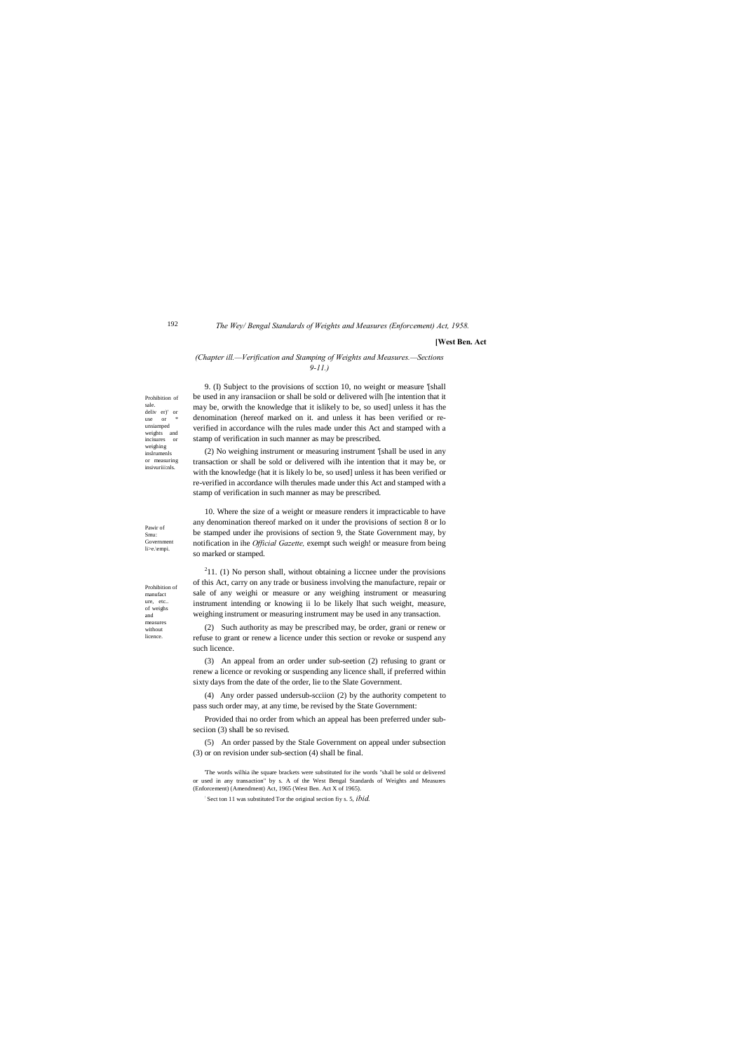Prohibition of sale. deliv er)' or  $\alpha$  or unsiamped weights and incisures or weighing inslrumenls or measuring insivuriii:nls.

Prohibition of manufact ure, etc.. of weighs and measures without licence

Pawir of Smu: Government li>e.\empi.

#### *The Wey/ Bengal Standards of Weights and Measures (Enforcement) Act, 1958.*

#### **[West Ben. Act**

#### *(Chapter ill.—Verification and Stamping of Weights and Measures.—Sections 9-11.)*

9. (I) Subject to the provisions of scction 10, no weight or measure '[shall be used in any iransaciion or shall be sold or delivered wilh [he intention that it may be, orwith the knowledge that it islikely to be, so used] unless it has the denomination (hereof marked on it. and unless it has been verified or reverified in accordance wilh the rules made under this Act and stamped with a

 $211.$  (1) No person shall, without obtaining a liccnee under the provisions of this Act, carry on any trade or business involving the manufacture, repair or sale of any weighi or measure or any weighing instrument or measuring instrument intending or knowing ii lo be likely lhat such weight, measure, weighing instrument or measuring instrument may be used in any transaction.

stamp of verification in such manner as may be prescribed. (2) No weighing instrument or measuring instrument '[shall be used in any transaction or shall be sold or delivered wilh ihe intention that it may be, or with the knowledge (hat it is likely lo be, so used] unless it has been verified or re-verified in accordance wilh therules made under this Act and stamped with a stamp of verification in such manner as may be prescribed.

10. Where the size of a weight or measure renders it impracticable to have any denomination thereof marked on it under the provisions of section 8 or lo be stamped under ihe provisions of section 9, the State Government may, by notification in ihe *Official Gazette,* exempt such weigh! or measure from being so marked or stamped.

(2) Such authority as may be prescribed may, be order, grani or renew or refuse to grant or renew a licence under this section or revoke or suspend any such licence.

(3) An appeal from an order under sub-seetion (2) refusing to grant or renew a licence or revoking or suspending any licence shall, if preferred within sixty days from the date of the order, lie to the Slate Government.

(4) Any order passed undersub-scciion (2) by the authority competent to pass such order may, at any time, be revised by the State Government:

Provided thai no order from which an appeal has been preferred under subseciion (3) shall be so revised.

(5) An order passed by the Stale Government on appeal under subsection (3) or on revision under sub-section (4) shall be final.

'The words wilhia ihe square brackets were substituted for ihe words "shall be sold or delivered or used in any transaction" by s. A of the West Bengal Standards of Weights and Measures (Enforcement) (Amendment) Act, 1965 (West Ben. Act X of 1965).

: Sect ton 11 was substituted Tor the original section fiy s. 5, *ibid.*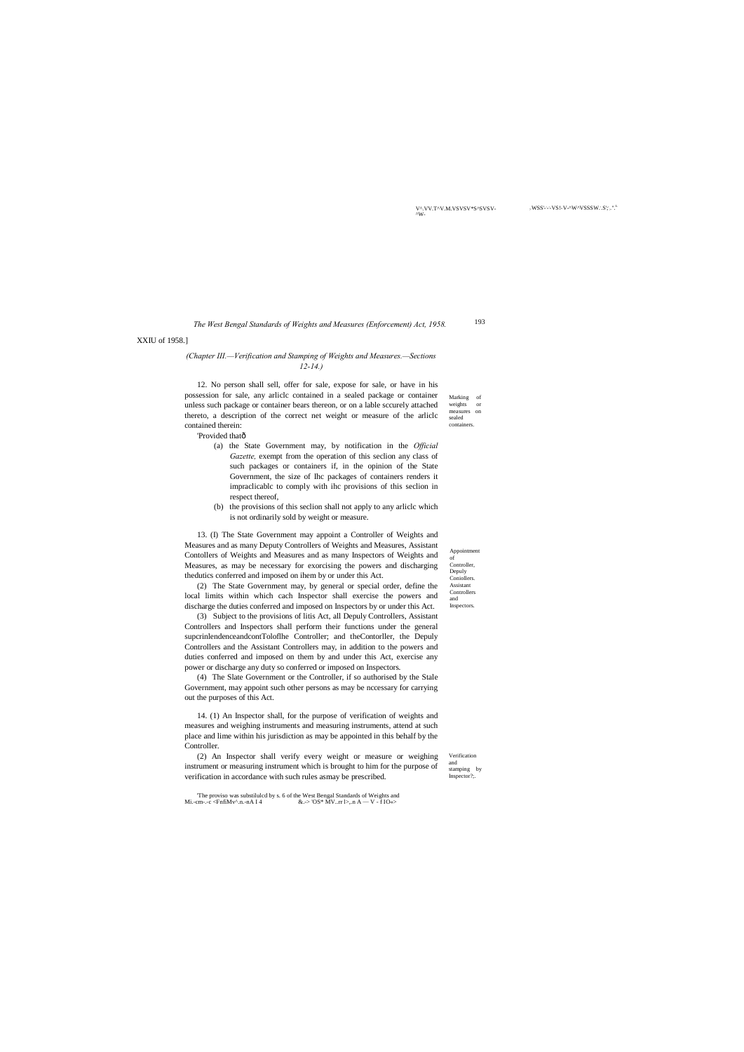V^.VV.T^V.M.VSVSV\*S^SVSV-

'-'-VS!-V-^W^VSSSW.'.S';'.".<sup>L</sup>

193 *The West Bengal Standards of Weights and Measures (Enforcement) Act, 1958.*

> Verification and stamping by Inspector?;.

The proviso was substiluled by s. 6 of the West Bengal Standards of Weights and Mi.-cm-.-c <FnfiMv^.n.-nA I 4  $\&.$  > 'OS\* MV..rr l>,.n A — V - f IO $\&$ &.-> 'OS\* MV..rr l>,.n A — V - f IO«>

XXIU of 1958.]

Marking of<br>weights or weights measures on sealed containers. 12. No person shall sell, offer for sale, expose for sale, or have in his possession for sale, any arliclc contained in a sealed package or container unless such package or container bears thereon, or on a lable sccurely attached thereto, a description of the correct net weight or measure of the arliclc contained therein:

'Provided thatô

#### *(Chapter III.—Verification and Stamping of Weights and Measures.—Sections 12-14.)*

- (a) the State Government may, by notification in the *Official Gazette,* exempt from the operation of this seclion any class of such packages or containers if, in the opinion of the State Government, the size of Ihc packages of containers renders it impraclicablc to comply with ihc provisions of this seclion in respect thereof,
- (b) the provisions of this seclion shall not apply to any arliclc which is not ordinarily sold by weight or measure.

13. (I) The State Government may appoint a Controller of Weights and Measures and as many Deputy Controllers of Weights and Measures, Assistant Contollers of Weights and Measures and as many Inspectors of Weights and Measures, as may be necessary for exorcising the powers and discharging thedutics conferred and imposed on ihem by or under this Act.

Appoin of Controller, Depuly Coniollers. Assistant Controllers and **Inspectors** 

(2) The State Government may, by general or special order, define the local limits within which cach Inspector shall exercise the powers and discharge the duties conferred and imposed on Inspectors by or under this Act.

(3) Subject to the provisions of litis Act, all Depuly Controllers, Assistant Controllers and Inspectors shall perform their functions under the general supcrinlendenceandcontToloflhe Controller; and theContorller, the Depuly Controllers and the Assistant Controllers may, in addition to the powers and duties conferred and imposed on them by and under this Act, exercise any power or discharge any duty so conferred or imposed on Inspectors.

(4) The Slate Government or the Controller, if so authorised by the Stale Government, may appoint such other persons as may be nccessary for carrying out the purposes of this Act.

14. (1) An Inspector shall, for the purpose of verification of weights and measures and weighing instruments and measuring instruments, attend at such place and lime within his jurisdiction as may be appointed in this behalf by the Controller.

(2) An Inspector shall verify every weight or measure or weighing instrument or measuring instrument which is brought to him for the purpose of verification in accordance with such rules asmay be prescribed.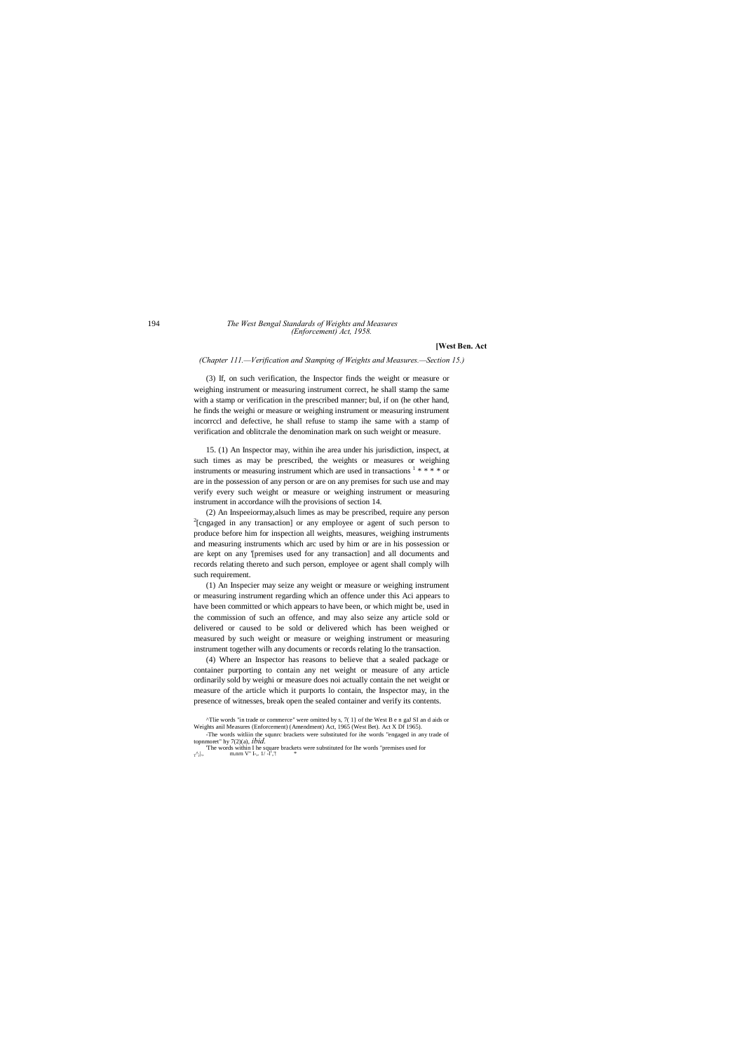#### 194 *The West Bengal Standards of Weights and Measures (Enforcement) Act, 1958.*

#### **[West Ben. Act**

*(Chapter 111.—Verification and Stamping of Weights and Measures.—Section 15.)*

(3) If, on such verification, the Inspector finds the weight or measure or weighing instrument or measuring instrument correct, he shall stamp the same with a stamp or verification in the prescribed manner; bul, if on (he other hand, he finds the weighi or measure or weighing instrument or measuring instrument incorrccl and defective, he shall refuse to stamp ihe same with a stamp of verification and oblitcrale the denomination mark on such weight or measure.

15. (1) An Inspector may, within ihe area under his jurisdiction, inspect, at such times as may be prescribed, the weights or measures or weighing instruments or measuring instrument which are used in transactions  $1$  \* \* \* \* or are in the possession of any person or are on any premises for such use and may verify every such weight or measure or weighing instrument or measuring instrument in accordance wilh the provisions of section 14.

(2) An Inspeeiormay,alsuch limes as may be prescribed, require any person 2  $2$ [cngaged in any transaction] or any employee or agent of such person to produce before him for inspection all weights, measures, weighing instruments and measuring instruments which arc used by him or are in his possession or are kept on any '[premises used for any transaction] and all documents and records relating thereto and such person, employee or agent shall comply wilh such requirement.

(1) An Inspecier may seize any weight or measure or weighing instrument or measuring instrument regarding which an offence under this Aci appears to have been committed or which appears to have been, or which might be, used in the commission of such an offence, and may also seize any article sold or delivered or caused to be sold or delivered which has been weighed or measured by such weight or measure or weighing instrument or measuring instrument together wilh any documents or records relating lo the transaction.

(4) Where an Inspector has reasons to believe that a sealed package or container purporting to contain any net weight or measure of any article ordinarily sold by weighi or measure does noi actually contain the net weight or measure of the article which it purports lo contain, the Inspector may, in the presence of witnesses, break open the sealed container and verify its contents.

<sup>^</sup>Tlie words "in trade or commerce" were omitted by s, 7( 1} of the West B e n gaJ SI an d aids or Weights anil Measures (Enforcement) (Amendment) Act, 1965 (West Bet). Act X Df 1965). -The words witliin the squnrc brackets were substituted for ihe words "engaged in any trade of topnmoret" hy 7(2)(a), *ibid.*

The words within I he square brackets were substituted for Ihe words "premises used for  $r_{\rm h}$ , 1,  $\sim$  m.nrn V" I-,. 1/ -l','!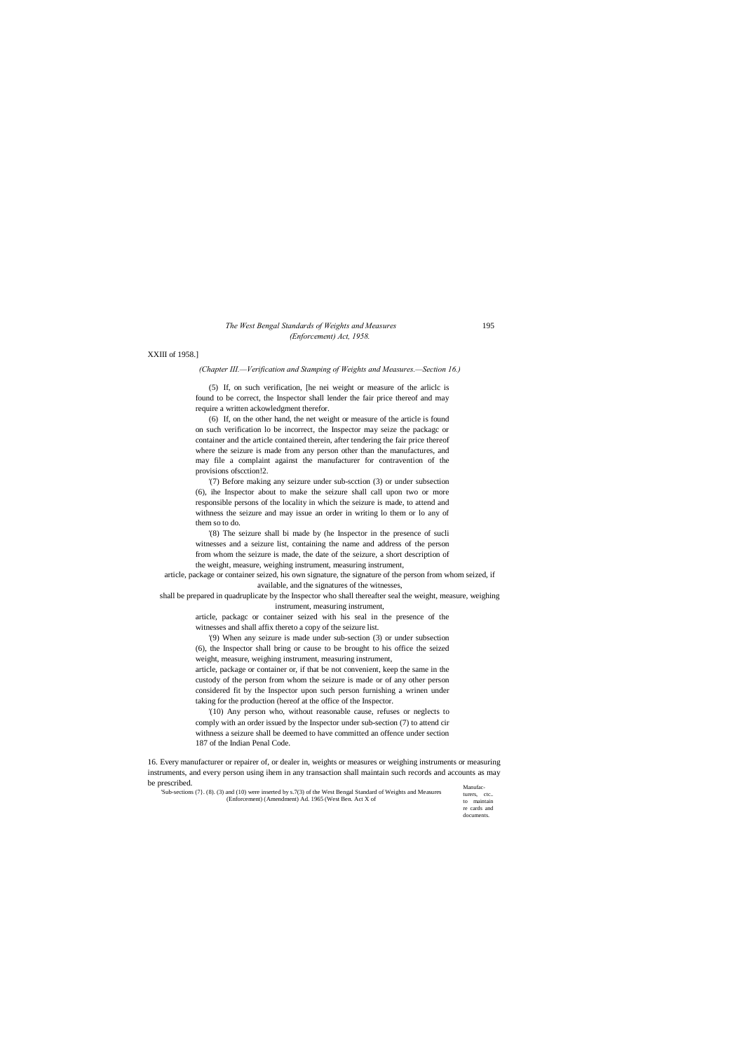turers, ctc.. to maintain re cards and documents.

#### *The West Bengal Standards of Weights and Measures* 195 *(Enforcement) Act, 1958.*

XXIII of 1958.]

*(Chapter III.—Verification and Stamping of Weights and Measures.—Section 16.)*

(5) If, on such verification, [he nei weight or measure of the arliclc is found to be correct, the Inspector shall lender the fair price thereof and may require a written ackowledgment therefor.

(6) If, on the other hand, the net weight or measure of the article is found on such verification lo be incorrect, the Inspector may seize the packagc or container and the article contained therein, after tendering the fair price thereof where the seizure is made from any person other than the manufactures, and may file a complaint against the manufacturer for contravention of the provisions ofscction!2.

'(7) Before making any seizure under sub-scction (3) or under subsection (6), ihe Inspector about to make the seizure shall call upon two or more responsible persons of the locality in which the seizure is made, to attend and withness the seizure and may issue an order in writing lo them or lo any of them so to do.

'(8) The seizure shall bi made by (he Inspector in the presence of sucli witnesses and a seizure list, containing the name and address of the person from whom the seizure is made, the date of the seizure, a short description of the weight, measure, weighing instrument, measuring instrument,

Manufac-16. Every manufacturer or repairer of, or dealer in, weights or measures or weighing instruments or measuring instruments, and every person using ihem in any transaction shall maintain such records and accounts as may be prescribed. 'Sub-sections (7}. (8). (3) and (10) were inserted by s.7(3) of the West Bengal Standard of Weights and Measures

article, package or container seized, his own signature, the signature of the person from whom seized, if available, and the signatures of the witnesses,

shall be prepared in quadruplicate by the Inspector who shall thereafter seal the weight, measure, weighing instrument, measuring instrument,

> article, packagc or container seized with his seal in the presence of the witnesses and shall affix thereto a copy of the seizure list.

> '(9) When any seizure is made under sub-section (3) or under subsection (6), the Inspector shall bring or cause to be brought to his office the seized weight, measure, weighing instrument, measuring instrument, article, package or container or, if that be not convenient, keep the same in the custody of the person from whom the seizure is made or of any other person

> considered fit by the Inspector upon such person furnishing a wrinen under taking for the production (hereof at the office of the Inspector.

> '(10) Any person who, without reasonable cause, refuses or neglects to comply with an order issued by the Inspector under sub-section (7) to attend cir withness a seizure shall be deemed to have committed an offence under section 187 of the Indian Penal Code.

> > (Enforcement) (Amendment) Ad. 1965 (West Ben. Act X of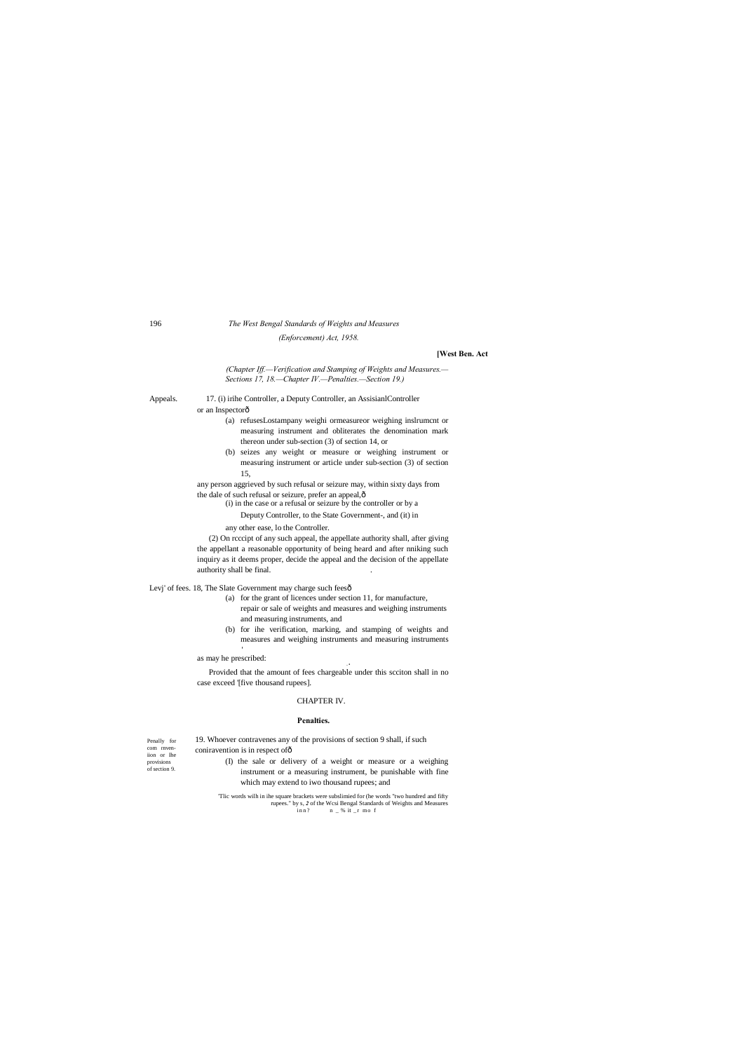Penally for com rnveniion or Ihe provisions of section 9.

## 196 *The West Bengal Standards of Weights and Measures*

*(Enforcement) Act, 1958.*

#### **[West Ben. Act**

*(Chapter Iff.—Verification and Stamping of Weights and Measures.— Sections 17, 18.—Chapter IV.—Penalties.—Section 19.)*

Appeals. 17. (i) irihe Controller, a Deputy Controller, an AssisianlController or an Inspectorô

> any person aggrieved by such refusal or seizure may, within sixty days from the dale of such refusal or seizure, prefer an appeal, $\hat{o}$

(2) On rcccipt of any such appeal, the appellate authority shall, after giving the appellant a reasonable opportunity of being heard and after nniking such inquiry as it deems proper, decide the appeal and the decision of the appellate authority shall be final.

Levj' of fees. 18, The Slate Government may charge such feesô

- (a) refusesLostampany weighi ormeasureor weighing inslrumcnt or measuring instrument and obliterates the denomination mark thereon under sub-section (3) of section 14, or
- (b) seizes any weight or measure or weighing instrument or measuring instrument or article under sub-section (3) of section 15,

(i) in the case or a refusal or seizure by the controller or by a

19. Whoever contravenes any of the provisions of section 9 shall, if such coniravention is in respect of ô

Deputy Controller, to the State Government-, and (it) in

any other ease, lo the Controller.

'Tlic words wilh in ihe square brackets were subslimied for (he words "two hundred and fifty rupees." by s, 2 of the Wcsi Bengal Standards of Weights and Measures<br>inn?  $n = %$  it \_r mo f  $n - %$  it  $_r$  mo f

- (a) for the grant of licences under section 11, for manufacture,
	- repair or sale of weights and measures and weighing instruments and measuring instruments, and
- (b) for ihe verification, marking, and stamping of weights and measures and weighing instruments and measuring instruments

as may he prescribed:

**. •**

Provided that the amount of fees chargeable under this scciton shall in no case exceed '[five thousand rupees].

#### CHAPTER IV.

#### **Penalties.**

- (I) the sale or delivery of a weight or measure or a weighing instrument or a measuring instrument, be punishable with fine which may extend to iwo thousand rupees; and
	-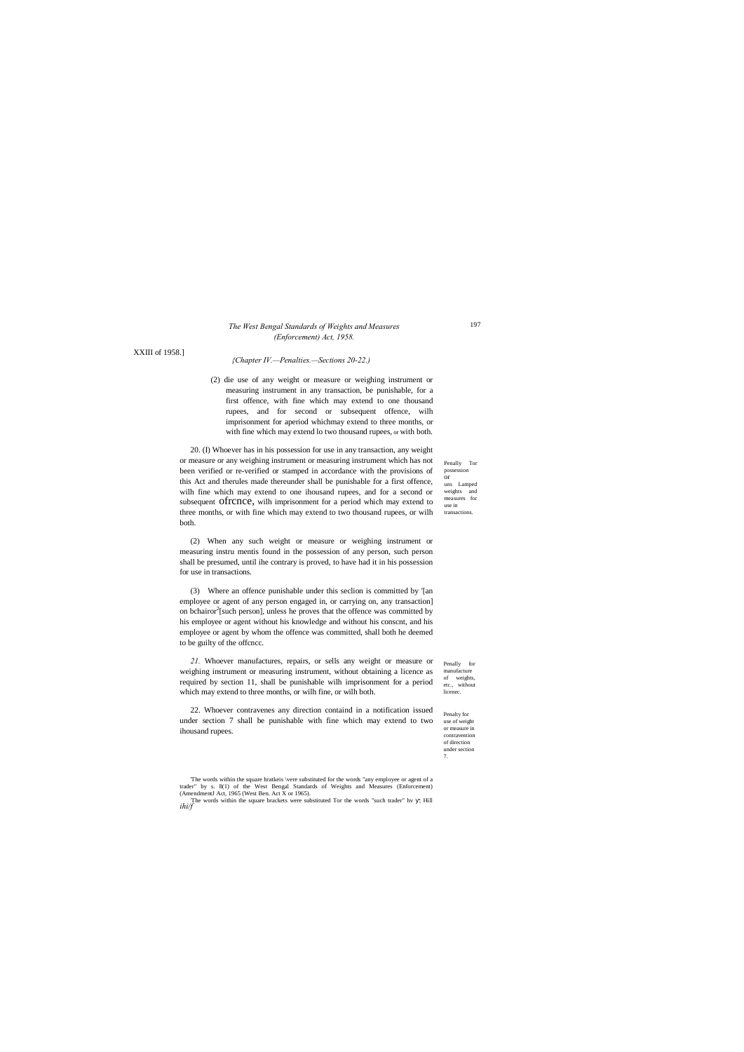(AmendmentJ Act, 1965 (West Ben. Act X or 1965).<br>
The words within the square brackets were substituted Tor the words "such trader" hv ; Hill<br>  $\frac{i}{f}$ 

Penally Tor possession or uns Lamped weights and measures for use in transactions.

Penally for manufacture of weights, etc., without licenec.

Penalty for use of weight or measure in contravention of direction under section 7.

#### *The West Bengal Standards of Weights and Measures (Enforcement) Act, 1958.*

XXIII of 1958.]

#### *{Chapter IV.—Penalties.—Sections 20-22.)*

(2) die use of any weight or measure or weighing instrument or measuring instrument in any transaction, be punishable, for a first offence, with fine which may extend to one thousand rupees, and for second or subsequent offence, wilh imprisonment for aperiod whichmay extend to three months, or with fine which may extend lo two thousand rupees, or with both.

20. (I) Whoever has in his possession for use in any transaction, any weight or measure or any weighing instrument or measuring instrument which has not been verified or re-verified or stamped in accordance with the provisions of this Act and therules made thereunder shall be punishable for a first offence, wilh fine which may extend to one ihousand rupees, and for a second or subsequent **Ofrcnce**, wilh imprisonment for a period which may extend to three months, or with fine which may extend to two thousand rupees, or wilh both.

(2) When any such weight or measure or weighing instrument or measuring instru mentis found in the possession of any person, such person shall be presumed, until ihe contrary is proved, to have had it in his possession for use in transactions.

(3) Where an offence punishable under this seclion is committed by '[an employee or agent of any person engaged in, or carrying on, any transaction] on bchairor<sup>2</sup>[such person], unless he proves that the offence was committed by his employee or agent without his knowledge and without his conscnt, and his employee or agent by whom the offence was committed, shall both he deemed to be guilty of the offcncc.

*21.* Whoever manufactures, repairs, or sells any weight or measure or weighing instrument or measuring instrument, without obtaining a licence as required by section 11, shall be punishable wilh imprisonment for a period which may extend to three months, or wilh fine, or wilh both.

22. Whoever contravenes any direction containd in a notification issued under section 7 shall be punishable with fine which may extend to two ihousand rupees.

'The words within the square hratkeis \vere substituted for the words "any employee or agent of a trader" by s. 8(1) of the West Bengal Standards of Weights and Measures (Enforcement)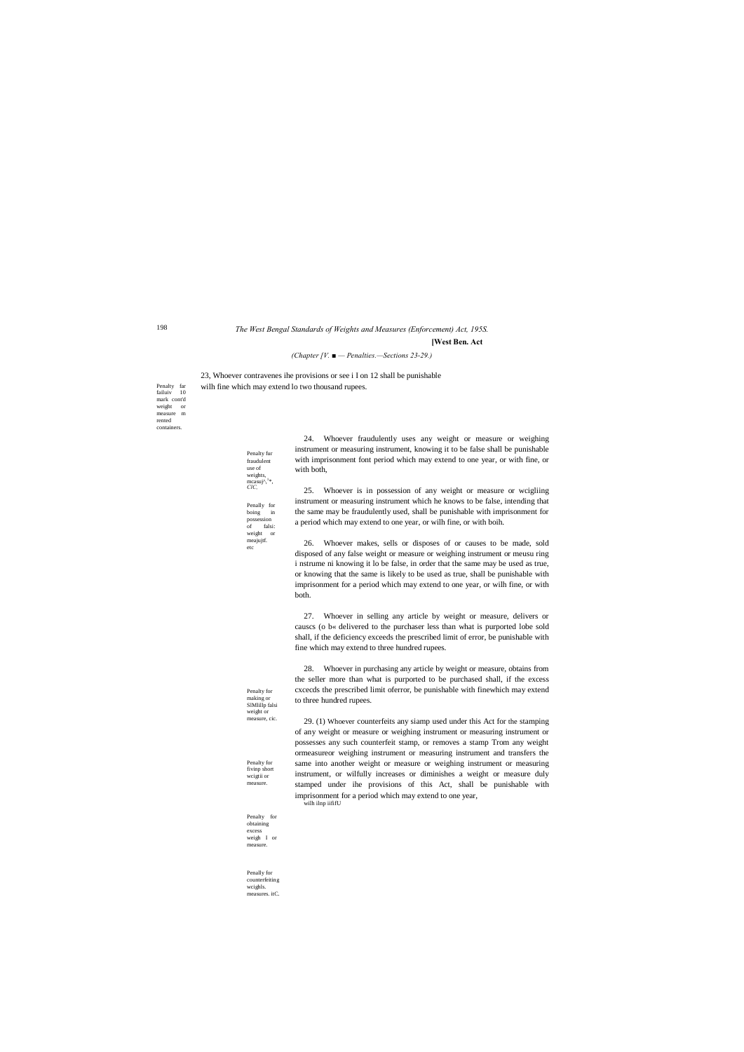Penalty far failuiv 10 mark cont'd weight or measure m rented containers.

> Penalty for making or SlMlillp falsi weight or measure, cic.

Penalty for fivinp short wcigtii or

measure.

Penalty for obtaining excess weigh I or measure.

Penally for counterfeiting wcighls. measures. itC.

*The West Bengal Standards of Weights and Measures (Enforcement) Act, 195S.*

### **[West Ben. Act**

*(Chapter [V. ■ — Penalties.—Sections 23-29.)*

23, Whoever contravenes ihe provisions or see i I on 12 shall be punishable wilh fine which may extend lo two thousand rupees.

> 24. Whoever fraudulently uses any weight or measure or weighing instrument or measuring instrument, knowing it to be false shall be punishable with imprisonment font period which may extend to one year, or with fine, or with both,

25. Whoever is in possession of any weight or measure or wcigliing instrument or measuring instrument which he knows to be false, intending that the same may be fraudulently used, shall be punishable with imprisonment for a period which may extend to one year, or wilh fine, or with boih.

26. Whoever makes, sells or disposes of or causes to be made, sold disposed of any false weight or measure or weighing instrument or meusu ring i nstrume ni knowing it lo be false, in order that the same may be used as true, or knowing that the same is likely to be used as true, shall be punishable with imprisonment for a period which may extend to one year, or wilh fine, or with both.

27. Whoever in selling any article by weight or measure, delivers or causcs (o b« delivered to the purchaser less than what is purported lobe sold shall, if the deficiency exceeds the prescribed limit of error, be punishable with fine which may extend to three hundred rupees.

28. Whoever in purchasing any article by weight or measure, obtains from the seller more than what is purported to be purchased shall, if the excess cxcecds the prescribed limit oferror, be punishable with finewhich may extend to three hundred rupees.

29. (1) Whoever counterfeits any siamp used under this Act for the stamping of any weight or measure or weighing instrument or measuring instrument or possesses any such counterfeit stamp, or removes a stamp Trom any weight ormeasureor weighing instrument or measuring instrument and transfers the same into another weight or measure or weighing instrument or measuring instrument, or wilfully increases or diminishes a weight or measure duly stamped under ihe provisions of this Act, shall be punishable with

imprisonment for a period which may extend to one year, wilh ilnp iififU

Penalty fur fraudulent use of

weights, mcasuj^,<sup>1</sup> \*, *ClC,* Penally for boing in possession of falsi: weight or meajujtf.

etc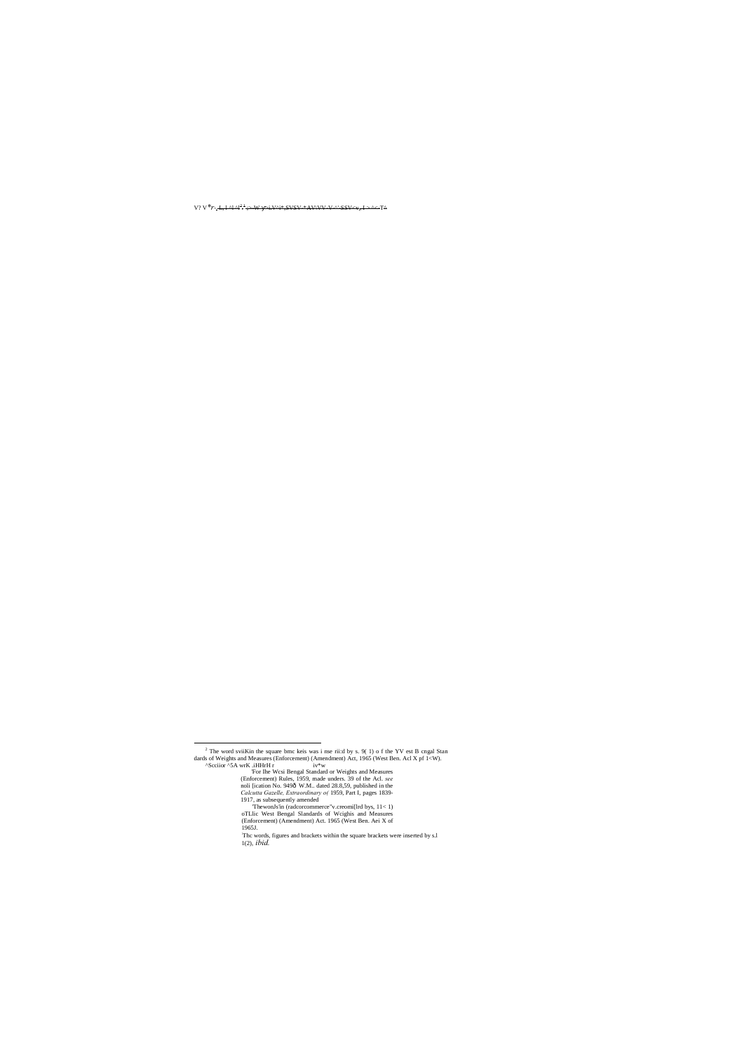V? V<sup>\*</sup>r-<del>, L, l ^l ^l<sup>2 +</sup>;>-W ->i.V^i\*,SVSV-\*AV\VV-V-^'-SSV<v,, I > ^<-T^</del>

1917, as subsequently amended<br>ThewonJs'in (radcorcommerce "v.creomi[Ird bys,  $11 < 1$ )<br>
oTLI: West Bengal Slandards of Wcighis and Measures<br>
(Enforcement) (Amendment) Act. 1965 (West Ben. Aei X of<br>
1965J.<br>
The words, figur 1(2), *ibid.*

<sup>&</sup>lt;sup>2</sup> The word sviiKin the square bmc keis was i nse rii:d by s. 9(1) o f the YV est B cngal Stan dards of Weights and Measures (Enforcement) (Amendment) Act, 1965 (West Ben. Acl X pf 1<W).<br>
<sup>A</sup>Scciior <sup>A</sup>SA wrK .iHHrH r iv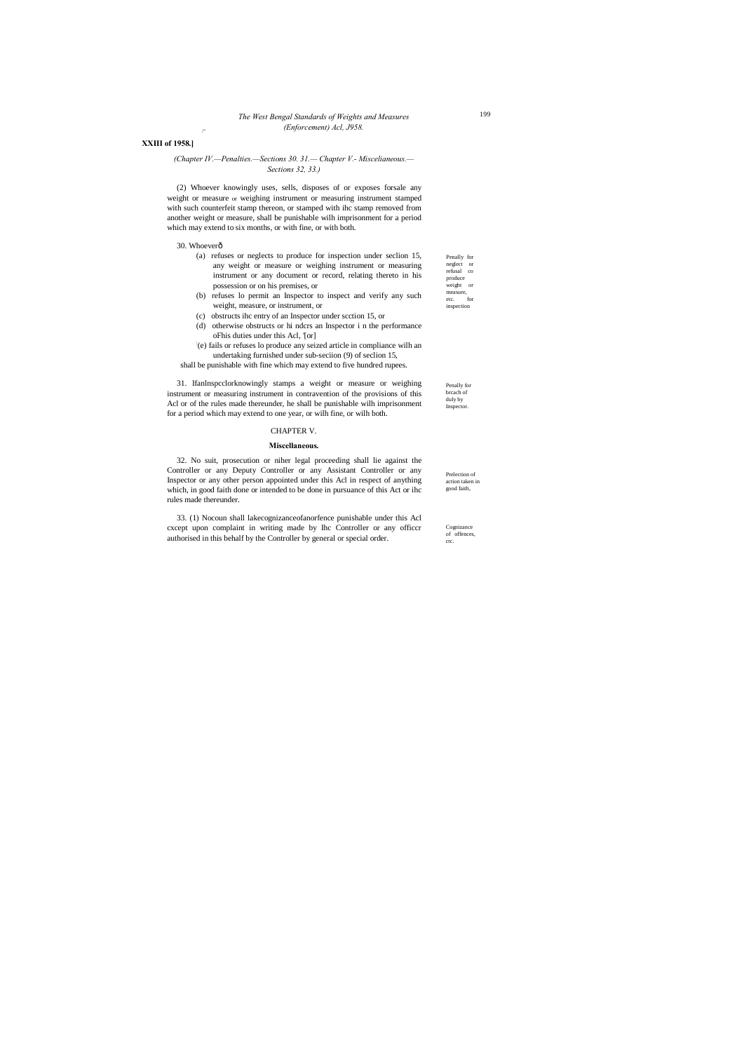/"

Penally for neglect or refusal co produce weight or measure,<br>etc. for etc. inspection

Penally for brcach of duly by Inspector.

Prelection of action taken in good faith,

Cognizance of offences ctc.

#### *The West Bengal Standards of Weights and Measures (Enforcement) Acl, J958.*

#### **XXIII of 1958.]**

#### *(Chapter IV.—Penalties.—Sections 30. 31.— Chapter V.- Miscelianeous.— Sections 32, 33.)*

(2) Whoever knowingly uses, sells, disposes of or exposes forsale any weight or measure or weighing instrument or measuring instrument stamped with such counterfeit stamp thereon, or stamped with ihc stamp removed from another weight or measure, shall be punishable wilh imprisonment for a period which may extend to six months, or with fine, or with both.

#### 30. Whoeverô

- (a) refuses or neglects to produce for inspection under seclion 15, any weight or measure or weighing instrument or measuring instrument or any document or record, relating thereto in his possession or on his premises, or
- (b) refuses lo permit an Inspector to inspect and verify any such weight, measure, or instrument, or
- (c) obstructs ihc entry of an Inspector under scction 15, or
- (d) otherwise obstructs or hi ndcrs an Inspector i n the performance oFhis duties under this Acl, '[or]
- : (e) fails or refuses lo produce any seized article in compliance wilh an undertaking furnished under sub-seciion (9) of seclion 15,
- shall be punishable with fine which may extend to five hundred rupees.

31. Ifanlnspcclorknowingly stamps a weight or measure or weighing instrument or measuring instrument in contravention of the provisions of this Acl or of the rules made thereunder, he shall be punishable wilh imprisonment for a period which may extend to one year, or wilh fine, or wilh both.

#### CHAPTER V.

#### **Miscellaneous.**

32. No suit, prosecution or niher legal proceeding shall lie against the Controller or any Deputy Controller or any Assistant Controller or any Inspector or any other person appointed under this Acl in respect of anything which, in good faith done or intended to be done in pursuance of this Act or ihc rules made thereunder.

33. (1) Nocoun shall lakecognizanceofanorfence punishable under this Acl cxcept upon complaint in writing made by Ihc Controller or any officcr authorised in this behalf by the Controller by general or special order.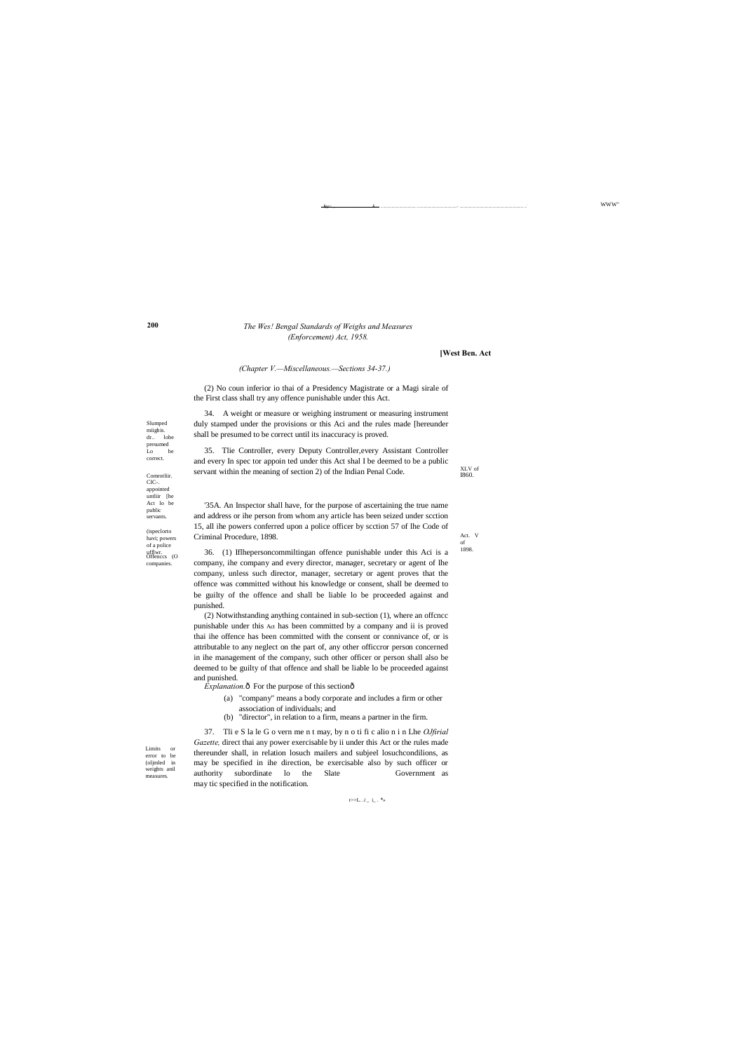WWW"

r>>L.  $.i\_\,$ i\_ .  $^*{\!\!\!*}$ 

**200**

XLV of I860.

Act. V of 1898.

Limits or error to be (oljmled in weights anil measures

Slumped miighis. dr.. lobe presumed<br>Lo be correct.

Offenccs (O ufflwr. companies. (ispeclorto<br>havi; powers of a police

Comrotliir. CIC-. appointed untliir [he Act lo be public servants.

- •■■ ^..,,............................................"- - - .......................................... ...............................................- ........................................................................... ...:

#### *The Wes! Bengal Standards of Weighs and Measures (Enforcement) Act, 1958.*

#### **[West Ben. Act**

#### *(Chapter V.—Miscellaneous.—Sections 34-37.)*

(2) No coun inferior io thai of a Presidency Magistrate or a Magi sirale of the First class shall try any offence punishable under this Act.

34. A weight or measure or weighing instrument or measuring instrument duly stamped under the provisions or this Aci and the rules made [hereunder shall be presumed to be correct until its inaccuracy is proved.

35. Tlie Controller, every Deputy Controller,every Assistant Controller and every In spec tor appoin ted under this Act shal I be deemed to be a public servant within the meaning of section 2) of the Indian Penal Code.

'35A. An Inspector shall have, for the purpose of ascertaining the true name and address or ihe person from whom any article has been seized under scction 15, all ihe powers conferred upon a police officer by scction 57 of lhe Code of Criminal Procedure, 1898.

36. (1) Iflhepersoncommiltingan offence punishable under this Aci is a company, ihe company and every director, manager, secretary or agent of Ihe company, unless such director, manager, secretary or agent proves that the offence was committed without his knowledge or consent, shall be deemed to be guilty of the offence and shall be liable lo be proceeded against and punished.

(2) Notwithstanding anything contained in sub-section (1), where an offcncc punishable under this Act has been committed by a company and ii is proved thai ihe offence has been committed with the consent or connivance of, or is attributable to any neglect on the part of, any other officcror person concerned in ihe management of the company, such other officer or person shall also be deemed to be guilty of that offence and shall be liable lo be proceeded against and punished.

 $Explanation.6$  For the purpose of this section $6$ 

- (a) "company" means a body corporate and includes a firm or other association of individuals; and
- (b) "director", in relation to a firm, means a partner in the firm.

37. Tli e S la le G o vern me n t may, by n o ti fi c alio n i n Lhe *OJfirial*  Gazette, direct thai any power exercisable by ii under this Act or the rules made thereunder shall, in relation losuch mailers and subjeel losuchcondilions, as may be specified in ihe direction, be exercisable also by such officer or authority subordinate lo the Slate Government as may tic specified in the notification.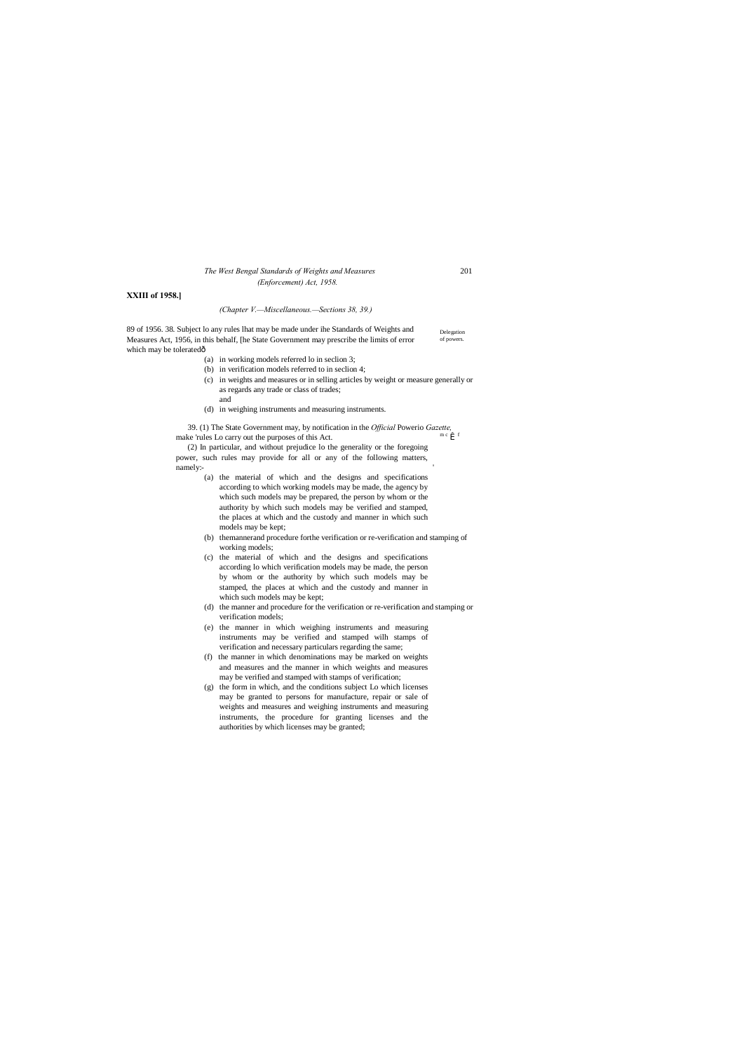### *The West Bengal Standards of Weights and Measures* 201 *(Enforcement) Act, 1958.*

#### **XXIII of 1958.]**

#### *(Chapter V.—Miscellaneous.—Sections 38, 39.)*

Delegation of powers. 89 of 1956. 38. Subject lo any rules lhat may be made under ihe Standards of Weights and Measures Act, 1956, in this behalf, [he State Government may prescribe the limits of error which may be toleratedô

> 39. (1) The State Government may, by notification in the *Official* Powerio *Gazette,* make 'rules Lo carry out the purposes of this Act.

(a) in working models referred lo in seclion 3;

(2) In particular, and without prejudice lo the generality or the foregoing power, such rules may provide for all or any of the following matters, namely:

- (b) in verification models referred to in seclion 4;
- (c) in weights and measures or in selling articles by weight or measure generally or as regards any trade or class of trades;
- (d) in weighing instruments and measuring instruments.

and

- (a) the material of which and the designs and specifications according to which working models may be made, the agency by which such models may be prepared, the person by whom or the authority by which such models may be verified and stamped, the places at which and the custody and manner in which such models may be kept;
- (b) themannerand procedure forthe verification or re-verification and stamping of working models;
- (c) the material of which and the designs and specifications according lo which verification models may be made, the person by whom or the authority by which such models may be stamped, the places at which and the custody and manner in which such models may be kept;
- (d) the manner and procedure for the verification or re-verification and stamping or verification models;
- (e) the manner in which weighing instruments and measuring instruments may be verified and stamped wilh stamps of verification and necessary particulars regarding the same;
- (f) the manner in which denominations may be marked on weights and measures and the manner in which weights and measures may be verified and stamped with stamps of verification;
- (g) the form in which, and the conditions subject Lo which licenses may be granted to persons for manufacture, repair or sale of weights and measures and weighing instruments and measuring instruments, the procedure for granting licenses and the authorities by which licenses may be granted;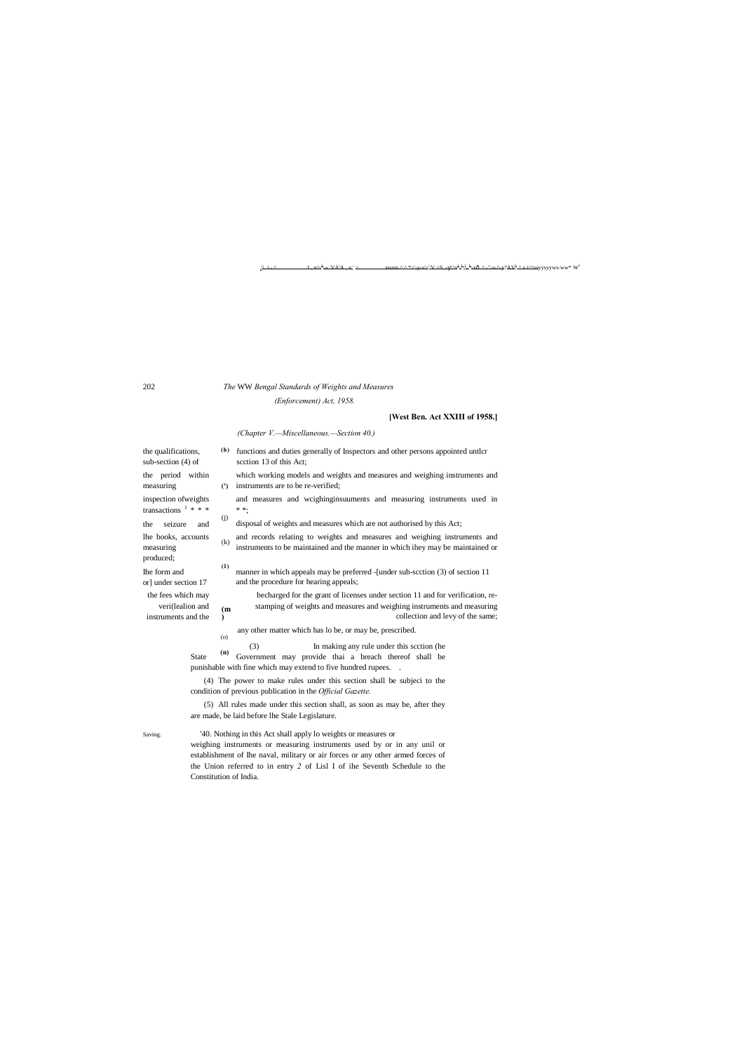(j) the seizure and disposal of weights and measures which are not authorised by this Act;

(k) lhe books, accounts and records relating to weights and measures and weighing instruments and measuring instruments to be maintained and the manner in which ihey may be maintained or

**(1)** Ihe form and manner in which appeals may be preferred -[under sub-scction (3) of section 11 or] under section 17 and the procedure for hearing appeals;

**(m** the fees which may becharged for the grant of licenses under section 11 and for verification, reveri(lealion and  $\epsilon_{\text{m}}$  stamping of weights and measures and weighing instruments and measuring instruments and the  $\rightarrow$  collection and levy of the same;

**)**

- L : l  $-$  yysyyws-ww\* W

1

-» .VA'A , v,' > sssssss ^ ^ \*>'-y-v>':V >S ,- ^s<sup>+</sup>

#### 202 *The* WW *Bengal Standards of Weights and Measures*

 $L, n^{\Delta}$ 

## *(Enforcement) Act, 1958.*

## **[West Ben. Act XXIII of 1958.]**

measuring (') instruments are to be re-verified; the period within which working models and weights and measures and weighing instruments and

#### *(Chapter V.—Miscellaneous.—Section 40.)*

the qualifications,  $\qquad$  (h) functions and duties generally of Inspectors and other persons appointed untlcr sub-section (4) of scction 13 of this Act; transactions  $1 * * * * * *$ ; produced;

inspection ofweights and measures and wcighinginsuuments and measuring instruments used in

**(n)** (3) In making any rule under this scction (he State (n) Government may provide thai a breach thereof shall be punishable with fine which may extend to five hundred rupees. .

any other matter which has lo be, or may be, prescribed. (o)

(4) The power to make rules under this section shall be subjeci to the condition of previous publication in the *Official Gazette.*

(5) All rules made under this section shall, as soon as may be, after they are made, be laid before lhe Stale Legislature.

Saving. '40. Nothing in this Act shall apply lo weights or measures or

weighing instruments or measuring instruments used by or in any unil or establishment of Ihe naval, military or air forces or any other armed forces of the Union referred to in entry *2* of Lisl I of ihe Seventh Schedule to the Constitution of India.